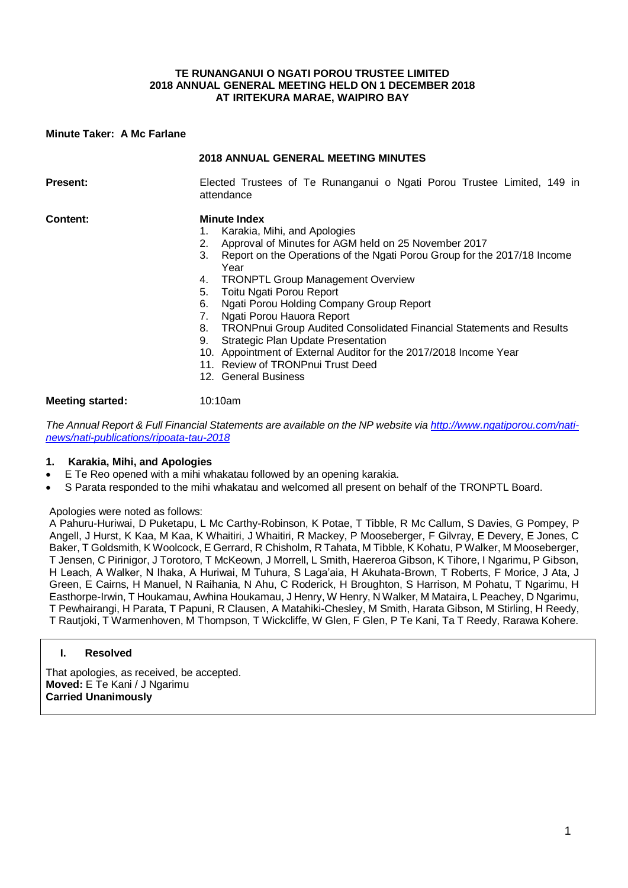#### **TE RUNANGANUI O NGATI POROU TRUSTEE LIMITED 2018 ANNUAL GENERAL MEETING HELD ON 1 DECEMBER 2018 AT IRITEKURA MARAE, WAIPIRO BAY**

### **Minute Taker: A Mc Farlane**

|                         | <b>2018 ANNUAL GENERAL MEETING MINUTES</b>                                                                                                                                                                                                                                                                                                                                                                                                                                                                                                                                                                                                                    |  |  |  |  |
|-------------------------|---------------------------------------------------------------------------------------------------------------------------------------------------------------------------------------------------------------------------------------------------------------------------------------------------------------------------------------------------------------------------------------------------------------------------------------------------------------------------------------------------------------------------------------------------------------------------------------------------------------------------------------------------------------|--|--|--|--|
| <b>Present:</b>         | Elected Trustees of Te Runanganui o Ngati Porou Trustee Limited, 149 in<br>attendance                                                                                                                                                                                                                                                                                                                                                                                                                                                                                                                                                                         |  |  |  |  |
| Content:                | <b>Minute Index</b><br>Karakia, Mihi, and Apologies<br>1.<br>Approval of Minutes for AGM held on 25 November 2017<br>2.<br>3.<br>Report on the Operations of the Ngati Porou Group for the 2017/18 Income<br>Year<br><b>TRONPTL Group Management Overview</b><br>4.<br>Toitu Ngati Porou Report<br>5.<br>Ngati Porou Holding Company Group Report<br>6.<br>Ngati Porou Hauora Report<br>7.<br>TRONPnui Group Audited Consolidated Financial Statements and Results<br>8.<br><b>Strategic Plan Update Presentation</b><br>9.<br>10. Appointment of External Auditor for the 2017/2018 Income Year<br>11. Review of TRONPnui Trust Deed<br>12. General Business |  |  |  |  |
| <b>Meeting started:</b> | 10:10am                                                                                                                                                                                                                                                                                                                                                                                                                                                                                                                                                                                                                                                       |  |  |  |  |

*The Annual Report & Full Financial Statements are available on the NP website via http://www.ngatiporou.com/natinews/nati-publications/ripoata-tau-2018*

### **1. Karakia, Mihi, and Apologies**

- E Te Reo opened with a mihi whakatau followed by an opening karakia.
- S Parata responded to the mihi whakatau and welcomed all present on behalf of the TRONPTL Board.

#### Apologies were noted as follows:

A Pahuru-Huriwai, D Puketapu, L Mc Carthy-Robinson, K Potae, T Tibble, R Mc Callum, S Davies, G Pompey, P Angell, J Hurst, K Kaa, M Kaa, K Whaitiri, J Whaitiri, R Mackey, P Mooseberger, F Gilvray, E Devery, E Jones, C Baker, T Goldsmith, K Woolcock, E Gerrard, R Chisholm, R Tahata, M Tibble, K Kohatu, P Walker, M Mooseberger, T Jensen, C Pirinigor, J Torotoro, T McKeown, J Morrell, L Smith, Haereroa Gibson, K Tihore, I Ngarimu, P Gibson, H Leach, A Walker, N Ihaka, A Huriwai, M Tuhura, S Laga'aia, H Akuhata-Brown, T Roberts, F Morice, J Ata, J Green, E Cairns, H Manuel, N Raihania, N Ahu, C Roderick, H Broughton, S Harrison, M Pohatu, T Ngarimu, H Easthorpe-Irwin, T Houkamau, Awhina Houkamau, J Henry, W Henry, N Walker, M Mataira, L Peachey, D Ngarimu, T Pewhairangi, H Parata, T Papuni, R Clausen, A Matahiki-Chesley, M Smith, Harata Gibson, M Stirling, H Reedy, T Rautjoki, T Warmenhoven, M Thompson, T Wickcliffe, W Glen, F Glen, P Te Kani, Ta T Reedy, Rarawa Kohere.

### **I. Resolved**

That apologies, as received, be accepted. **Moved:** E Te Kani / J Ngarimu **Carried Unanimously**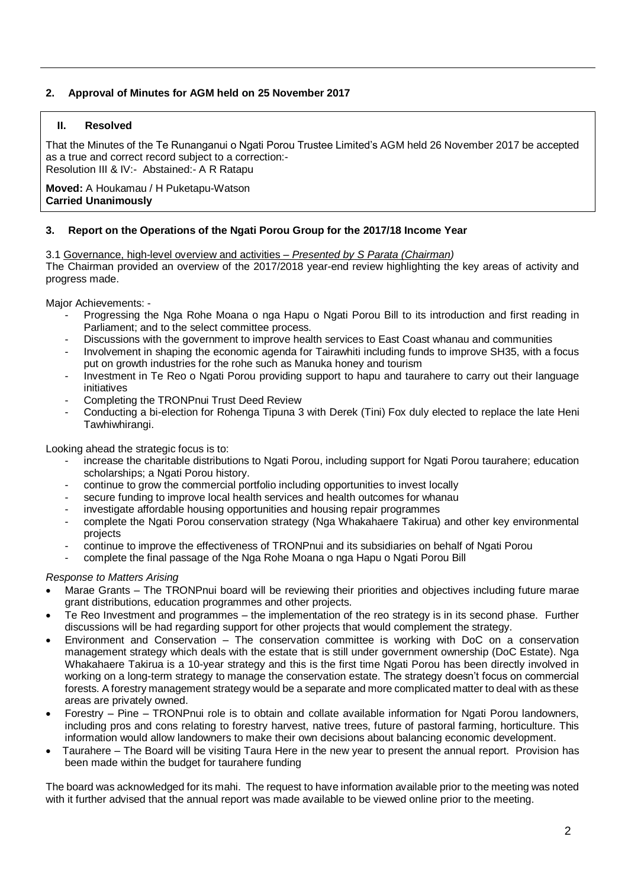# **2. Approval of Minutes for AGM held on 25 November 2017**

# **II. Resolved**

That the Minutes of the Te Runanganui o Ngati Porou Trustee Limited's AGM held 26 November 2017 be accepted as a true and correct record subject to a correction:- Resolution III & IV:- Abstained:- A R Ratapu

**Moved:** A Houkamau / H Puketapu-Watson **Carried Unanimously**

# **3. Report on the Operations of the Ngati Porou Group for the 2017/18 Income Year**

3.1 Governance, high-level overview and activities – *Presented by S Parata (Chairman)*

The Chairman provided an overview of the 2017/2018 year-end review highlighting the key areas of activity and progress made.

Major Achievements: -

- Progressing the Nga Rohe Moana o nga Hapu o Ngati Porou Bill to its introduction and first reading in Parliament; and to the select committee process.
- Discussions with the government to improve health services to East Coast whanau and communities
- Involvement in shaping the economic agenda for Tairawhiti including funds to improve SH35, with a focus put on growth industries for the rohe such as Manuka honey and tourism
- Investment in Te Reo o Ngati Porou providing support to hapu and taurahere to carry out their language initiatives
- Completing the TRONPnui Trust Deed Review
- Conducting a bi-election for Rohenga Tipuna 3 with Derek (Tini) Fox duly elected to replace the late Heni Tawhiwhirangi.

Looking ahead the strategic focus is to:

- increase the charitable distributions to Ngati Porou, including support for Ngati Porou taurahere; education scholarships; a Ngati Porou history.
- continue to grow the commercial portfolio including opportunities to invest locally
- secure funding to improve local health services and health outcomes for whanau
- investigate affordable housing opportunities and housing repair programmes
- complete the Ngati Porou conservation strategy (Nga Whakahaere Takirua) and other key environmental projects
- continue to improve the effectiveness of TRONPnui and its subsidiaries on behalf of Ngati Porou
- complete the final passage of the Nga Rohe Moana o nga Hapu o Ngati Porou Bill

*Response to Matters Arising*

- Marae Grants The TRONPnui board will be reviewing their priorities and objectives including future marae grant distributions, education programmes and other projects.
- Te Reo Investment and programmes the implementation of the reo strategy is in its second phase. Further discussions will be had regarding support for other projects that would complement the strategy.
- Environment and Conservation The conservation committee is working with DoC on a conservation management strategy which deals with the estate that is still under government ownership (DoC Estate). Nga Whakahaere Takirua is a 10-year strategy and this is the first time Ngati Porou has been directly involved in working on a long-term strategy to manage the conservation estate. The strategy doesn't focus on commercial forests. A forestry management strategy would be a separate and more complicated matter to deal with as these areas are privately owned.
- Forestry Pine TRONPnui role is to obtain and collate available information for Ngati Porou landowners, including pros and cons relating to forestry harvest, native trees, future of pastoral farming, horticulture. This information would allow landowners to make their own decisions about balancing economic development.
- Taurahere The Board will be visiting Taura Here in the new year to present the annual report. Provision has been made within the budget for taurahere funding

The board was acknowledged for its mahi. The request to have information available prior to the meeting was noted with it further advised that the annual report was made available to be viewed online prior to the meeting.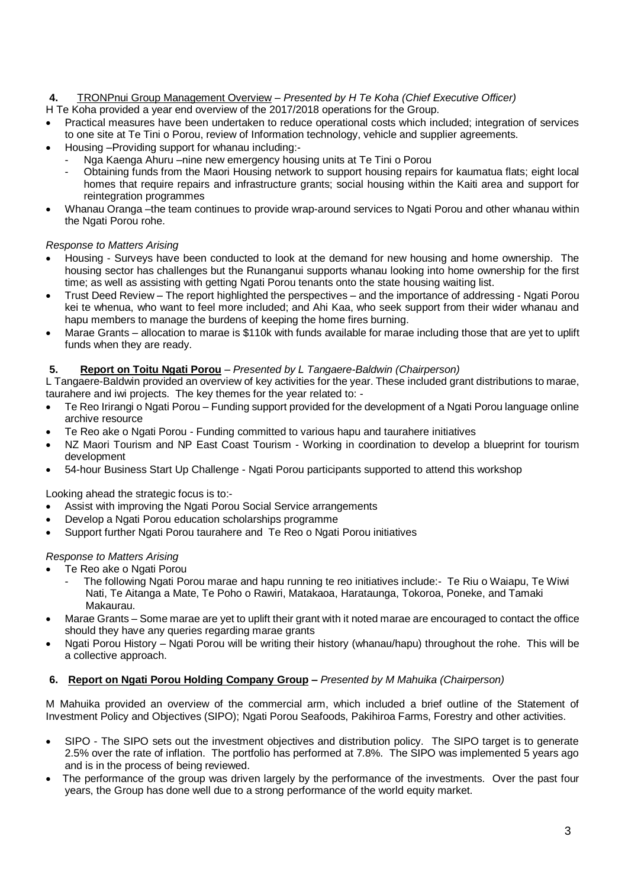# **4.** TRONPnui Group Management Overview – *Presented by H Te Koha (Chief Executive Officer)*

H Te Koha provided a year end overview of the 2017/2018 operations for the Group.

- Practical measures have been undertaken to reduce operational costs which included; integration of services to one site at Te Tini o Porou, review of Information technology, vehicle and supplier agreements.
- Housing –Providing support for whanau including:-
	- Nga Kaenga Ahuru –nine new emergency housing units at Te Tini o Porou
	- Obtaining funds from the Maori Housing network to support housing repairs for kaumatua flats; eight local homes that require repairs and infrastructure grants; social housing within the Kaiti area and support for reintegration programmes
- Whanau Oranga –the team continues to provide wrap-around services to Ngati Porou and other whanau within the Ngati Porou rohe.

# *Response to Matters Arising*

- Housing Surveys have been conducted to look at the demand for new housing and home ownership. The housing sector has challenges but the Runanganui supports whanau looking into home ownership for the first time; as well as assisting with getting Ngati Porou tenants onto the state housing waiting list.
- Trust Deed Review The report highlighted the perspectives and the importance of addressing Ngati Porou kei te whenua, who want to feel more included; and Ahi Kaa, who seek support from their wider whanau and hapu members to manage the burdens of keeping the home fires burning.
- Marae Grants allocation to marae is \$110k with funds available for marae including those that are yet to uplift funds when they are ready.

# **5. Report on Toitu Ngati Porou** *– Presented by L Tangaere-Baldwin (Chairperson)*

L Tangaere-Baldwin provided an overview of key activities for the year. These included grant distributions to marae, taurahere and iwi projects. The key themes for the year related to: -

- Te Reo Irirangi o Ngati Porou Funding support provided for the development of a Ngati Porou language online archive resource
- Te Reo ake o Ngati Porou Funding committed to various hapu and taurahere initiatives
- NZ Maori Tourism and NP East Coast Tourism Working in coordination to develop a blueprint for tourism development
- 54-hour Business Start Up Challenge Ngati Porou participants supported to attend this workshop

Looking ahead the strategic focus is to:-

- Assist with improving the Ngati Porou Social Service arrangements
- Develop a Ngati Porou education scholarships programme
- Support further Ngati Porou taurahere and Te Reo o Ngati Porou initiatives

### *Response to Matters Arising*

- Te Reo ake o Ngati Porou
	- The following Ngati Porou marae and hapu running te reo initiatives include:- Te Riu o Waiapu, Te Wiwi Nati, Te Aitanga a Mate, Te Poho o Rawiri, Matakaoa, Harataunga, Tokoroa, Poneke, and Tamaki Makaurau.
- Marae Grants Some marae are yet to uplift their grant with it noted marae are encouraged to contact the office should they have any queries regarding marae grants
- Ngati Porou History Ngati Porou will be writing their history (whanau/hapu) throughout the rohe. This will be a collective approach.

### **6. Report on Ngati Porou Holding Company Group –** *Presented by M Mahuika (Chairperson)*

M Mahuika provided an overview of the commercial arm, which included a brief outline of the Statement of Investment Policy and Objectives (SIPO); Ngati Porou Seafoods, Pakihiroa Farms, Forestry and other activities.

- SIPO The SIPO sets out the investment objectives and distribution policy. The SIPO target is to generate 2.5% over the rate of inflation. The portfolio has performed at 7.8%. The SIPO was implemented 5 years ago and is in the process of being reviewed.
- The performance of the group was driven largely by the performance of the investments. Over the past four years, the Group has done well due to a strong performance of the world equity market.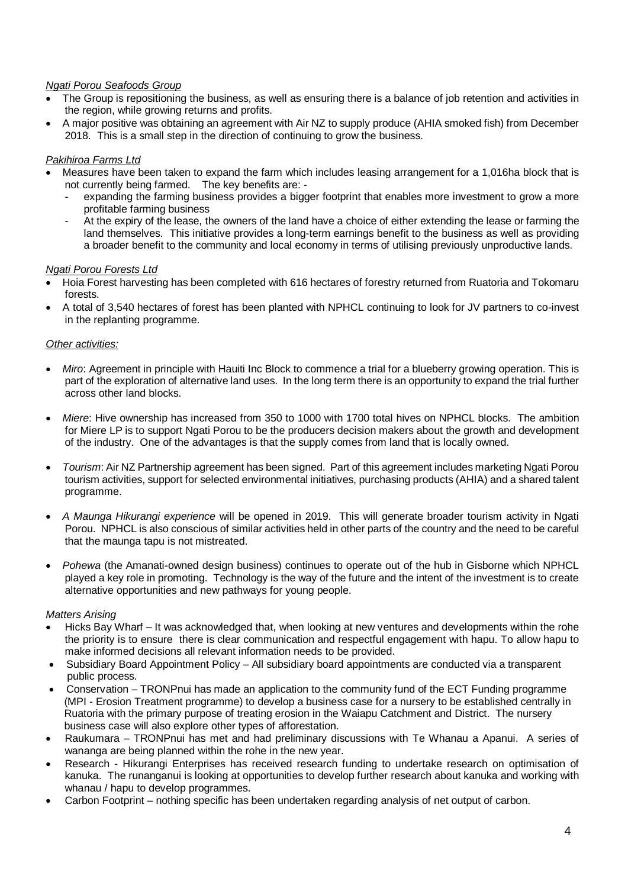# *Ngati Porou Seafoods Group*

- The Group is repositioning the business, as well as ensuring there is a balance of job retention and activities in the region, while growing returns and profits.
- A major positive was obtaining an agreement with Air NZ to supply produce (AHIA smoked fish) from December 2018. This is a small step in the direction of continuing to grow the business.

# *Pakihiroa Farms Ltd*

- Measures have been taken to expand the farm which includes leasing arrangement for a 1,016ha block that is not currently being farmed. The key benefits are:
	- expanding the farming business provides a bigger footprint that enables more investment to grow a more profitable farming business
	- At the expiry of the lease, the owners of the land have a choice of either extending the lease or farming the land themselves. This initiative provides a long-term earnings benefit to the business as well as providing a broader benefit to the community and local economy in terms of utilising previously unproductive lands.

### *Ngati Porou Forests Ltd*

- Hoia Forest harvesting has been completed with 616 hectares of forestry returned from Ruatoria and Tokomaru forests.
- A total of 3,540 hectares of forest has been planted with NPHCL continuing to look for JV partners to co-invest in the replanting programme.

# *Other activities:*

- *Miro*: Agreement in principle with Hauiti Inc Block to commence a trial for a blueberry growing operation. This is part of the exploration of alternative land uses. In the long term there is an opportunity to expand the trial further across other land blocks.
- *Miere*: Hive ownership has increased from 350 to 1000 with 1700 total hives on NPHCL blocks. The ambition for Miere LP is to support Ngati Porou to be the producers decision makers about the growth and development of the industry. One of the advantages is that the supply comes from land that is locally owned.
- *Tourism*: Air NZ Partnership agreement has been signed. Part of this agreement includes marketing Ngati Porou tourism activities, support for selected environmental initiatives, purchasing products (AHIA) and a shared talent programme.
- *A Maunga Hikurangi experience* will be opened in 2019. This will generate broader tourism activity in Ngati Porou. NPHCL is also conscious of similar activities held in other parts of the country and the need to be careful that the maunga tapu is not mistreated.
- *Pohewa* (the Amanati-owned design business) continues to operate out of the hub in Gisborne which NPHCL played a key role in promoting. Technology is the way of the future and the intent of the investment is to create alternative opportunities and new pathways for young people.

### *Matters Arising*

- Hicks Bay Wharf It was acknowledged that, when looking at new ventures and developments within the rohe the priority is to ensure there is clear communication and respectful engagement with hapu. To allow hapu to make informed decisions all relevant information needs to be provided.
- Subsidiary Board Appointment Policy All subsidiary board appointments are conducted via a transparent public process.
- Conservation TRONPnui has made an application to the community fund of the ECT Funding programme (MPI - Erosion Treatment programme) to develop a business case for a nursery to be established centrally in Ruatoria with the primary purpose of treating erosion in the Waiapu Catchment and District. The nursery business case will also explore other types of afforestation.
- Raukumara TRONPnui has met and had preliminary discussions with Te Whanau a Apanui. A series of wananga are being planned within the rohe in the new year.
- Research Hikurangi Enterprises has received research funding to undertake research on optimisation of kanuka. The runanganui is looking at opportunities to develop further research about kanuka and working with whanau / hapu to develop programmes.
- Carbon Footprint nothing specific has been undertaken regarding analysis of net output of carbon.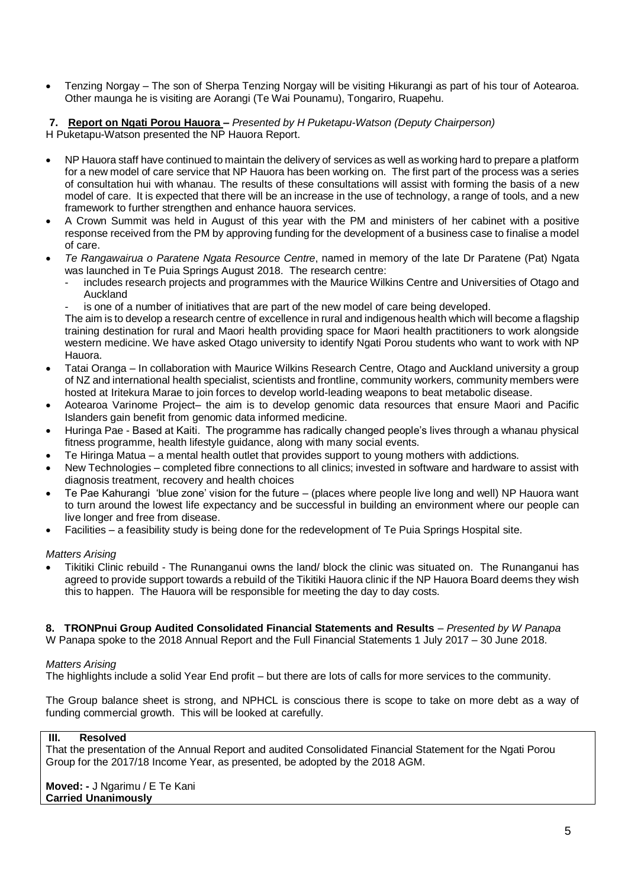• Tenzing Norgay – The son of Sherpa Tenzing Norgay will be visiting Hikurangi as part of his tour of Aotearoa. Other maunga he is visiting are Aorangi (Te Wai Pounamu), Tongariro, Ruapehu.

**7. Report on Ngati Porou Hauora –** *Presented by H Puketapu-Watson (Deputy Chairperson)* H Puketapu-Watson presented the NP Hauora Report.

- NP Hauora staff have continued to maintain the delivery of services as well as working hard to prepare a platform for a new model of care service that NP Hauora has been working on. The first part of the process was a series of consultation hui with whanau. The results of these consultations will assist with forming the basis of a new model of care. It is expected that there will be an increase in the use of technology, a range of tools, and a new framework to further strengthen and enhance hauora services.
- A Crown Summit was held in August of this year with the PM and ministers of her cabinet with a positive response received from the PM by approving funding for the development of a business case to finalise a model of care.
- *Te Rangawairua o Paratene Ngata Resource Centre*, named in memory of the late Dr Paratene (Pat) Ngata was launched in Te Puia Springs August 2018. The research centre:
	- includes research projects and programmes with the Maurice Wilkins Centre and Universities of Otago and Auckland
	- is one of a number of initiatives that are part of the new model of care being developed.

The aim is to develop a research centre of excellence in rural and indigenous health which will become a flagship training destination for rural and Maori health providing space for Maori health practitioners to work alongside western medicine. We have asked Otago university to identify Ngati Porou students who want to work with NP Hauora.

- Tatai Oranga In collaboration with Maurice Wilkins Research Centre, Otago and Auckland university a group of NZ and international health specialist, scientists and frontline, community workers, community members were hosted at Iritekura Marae to join forces to develop world-leading weapons to beat metabolic disease.
- Aotearoa Varinome Project– the aim is to develop genomic data resources that ensure Maori and Pacific Islanders gain benefit from genomic data informed medicine.
- Huringa Pae Based at Kaiti. The programme has radically changed people's lives through a whanau physical fitness programme, health lifestyle guidance, along with many social events.
- Te Hiringa Matua a mental health outlet that provides support to young mothers with addictions.
- New Technologies completed fibre connections to all clinics; invested in software and hardware to assist with diagnosis treatment, recovery and health choices
- Te Pae Kahurangi 'blue zone' vision for the future (places where people live long and well) NP Hauora want to turn around the lowest life expectancy and be successful in building an environment where our people can live longer and free from disease.
- Facilities a feasibility study is being done for the redevelopment of Te Puia Springs Hospital site.

*Matters Arising*

• Tikitiki Clinic rebuild - The Runanganui owns the land/ block the clinic was situated on. The Runanganui has agreed to provide support towards a rebuild of the Tikitiki Hauora clinic if the NP Hauora Board deems they wish this to happen. The Hauora will be responsible for meeting the day to day costs.

# **8. TRONPnui Group Audited Consolidated Financial Statements and Results** *– Presented by W Panapa*

W Panapa spoke to the 2018 Annual Report and the Full Financial Statements 1 July 2017 – 30 June 2018.

### *Matters Arising*

The highlights include a solid Year End profit – but there are lots of calls for more services to the community.

The Group balance sheet is strong, and NPHCL is conscious there is scope to take on more debt as a way of funding commercial growth. This will be looked at carefully.

### **III. Resolved**

That the presentation of the Annual Report and audited Consolidated Financial Statement for the Ngati Porou Group for the 2017/18 Income Year, as presented, be adopted by the 2018 AGM.

**Moved: -** J Ngarimu / E Te Kani **Carried Unanimously**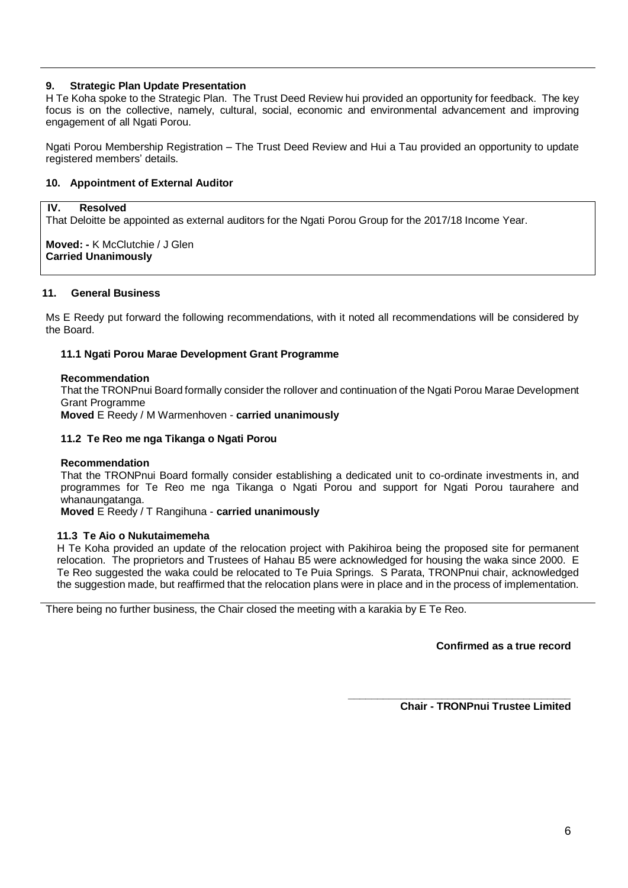# **9. Strategic Plan Update Presentation**

H Te Koha spoke to the Strategic Plan. The Trust Deed Review hui provided an opportunity for feedback. The key focus is on the collective, namely, cultural, social, economic and environmental advancement and improving engagement of all Ngati Porou.

Ngati Porou Membership Registration – The Trust Deed Review and Hui a Tau provided an opportunity to update registered members' details.

### **10. Appointment of External Auditor**

#### **IV. Resolved**

That Deloitte be appointed as external auditors for the Ngati Porou Group for the 2017/18 Income Year.

**Moved: -** K McClutchie / J Glen **Carried Unanimously**

#### **11. General Business**

Ms E Reedy put forward the following recommendations, with it noted all recommendations will be considered by the Board.

### **11.1 Ngati Porou Marae Development Grant Programme**

#### **Recommendation**

That the TRONPnui Board formally consider the rollover and continuation of the Ngati Porou Marae Development Grant Programme

**Moved** E Reedy / M Warmenhoven - **carried unanimously**

### **11.2 Te Reo me nga Tikanga o Ngati Porou**

#### **Recommendation**

That the TRONPnui Board formally consider establishing a dedicated unit to co-ordinate investments in, and programmes for Te Reo me nga Tikanga o Ngati Porou and support for Ngati Porou taurahere and whanaungatanga.

**Moved** E Reedy / T Rangihuna - **carried unanimously**

#### **11.3 Te Aio o Nukutaimemeha**

H Te Koha provided an update of the relocation project with Pakihiroa being the proposed site for permanent relocation. The proprietors and Trustees of Hahau B5 were acknowledged for housing the waka since 2000. E Te Reo suggested the waka could be relocated to Te Puia Springs. S Parata, TRONPnui chair, acknowledged the suggestion made, but reaffirmed that the relocation plans were in place and in the process of implementation.

There being no further business, the Chair closed the meeting with a karakia by E Te Reo.

**Confirmed as a true record**

**Chair - TRONPnui Trustee Limited**

**\_\_\_\_\_\_\_\_\_\_\_\_\_\_\_\_\_\_\_\_\_\_\_\_\_\_\_\_\_\_\_\_\_\_\_\_\_\_**